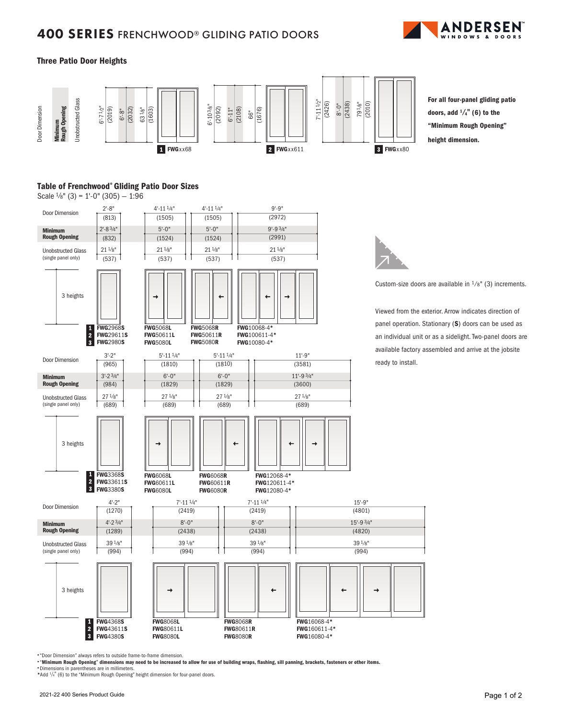## 400 SERIES FRENCHWOOD® GLIDING PATIO DOORS



### Three Patio Door Heights



For all four-panel gliding patio doors, add  $\frac{1}{4}$ " (6) to the "Minimum Rough Opening" height dimension.

### Table of Frenchwood® Gliding Patio Door Sizes

Scale  $\frac{1}{8}$ " (3) = 1'-0" (305) - 1:96



• "Door Dimension" always refers to outside frame-to-frame dimension.

• "Minimum Rough Opening" dimensions may need to be increased to allow for use of building wraps, flashing, sill panning, brackets, fasteners or other items.

• Dimensions in parentheses are in millimeters.

\*Add  $\frac{1}{4}$ " (6) to the "Minimum Rough Opening" height dimension for four-panel doors.